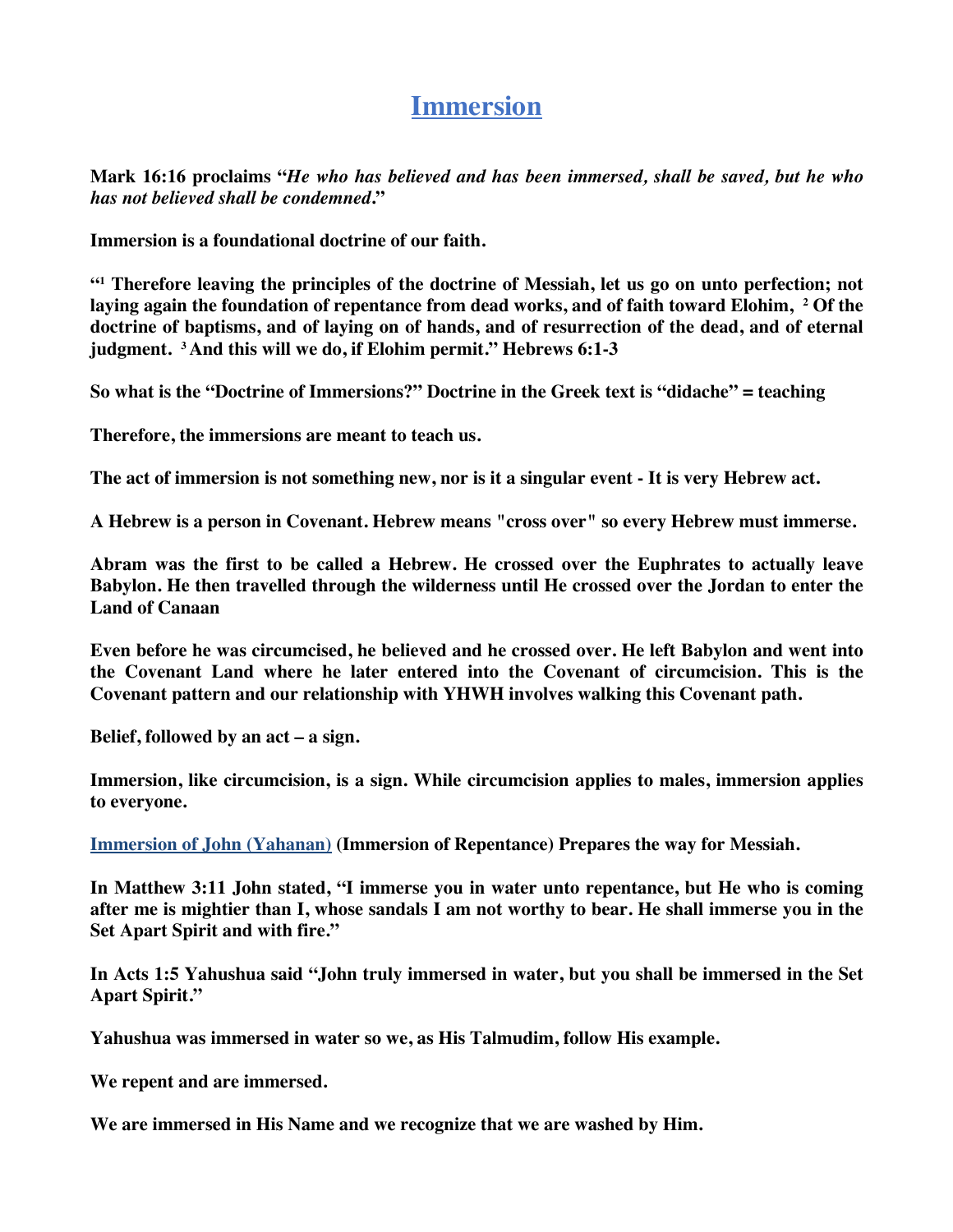# **Immersion**

**Mark 16:16 proclaims "***He who has believed and has been immersed, shall be saved, but he who has not believed shall be condemned***."**

**Immersion is a foundational doctrine of our faith.** 

**"1 Therefore leaving the principles of the doctrine of Messiah, let us go on unto perfection; not laying again the foundation of repentance from dead works, and of faith toward Elohim, 2 Of the doctrine of baptisms, and of laying on of hands, and of resurrection of the dead, and of eternal judgment. 3 And this will we do, if Elohim permit." Hebrews 6:1-3**

**So what is the "Doctrine of Immersions?" Doctrine in the Greek text is "didache" = teaching**

**Therefore, the immersions are meant to teach us.**

**The act of immersion is not something new, nor is it a singular event - It is very Hebrew act.**

**A Hebrew is a person in Covenant. Hebrew means "cross over" so every Hebrew must immerse.**

**Abram was the first to be called a Hebrew. He crossed over the Euphrates to actually leave Babylon. He then travelled through the wilderness until He crossed over the Jordan to enter the Land of Canaan**

**Even before he was circumcised, he believed and he crossed over. He left Babylon and went into the Covenant Land where he later entered into the Covenant of circumcision. This is the Covenant pattern and our relationship with YHWH involves walking this Covenant path.**

**Belief, followed by an act – a sign.** 

**Immersion, like circumcision, is a sign. While circumcision applies to males, immersion applies to everyone.**

**Immersion of John (Yahanan) (Immersion of Repentance) Prepares the way for Messiah.**

**In Matthew 3:11 John stated, "I immerse you in water unto repentance, but He who is coming after me is mightier than I, whose sandals I am not worthy to bear. He shall immerse you in the Set Apart Spirit and with fire."**

**In Acts 1:5 Yahushua said "John truly immersed in water, but you shall be immersed in the Set Apart Spirit."**

**Yahushua was immersed in water so we, as His Talmudim, follow His example.**

**We repent and are immersed.**

**We are immersed in His Name and we recognize that we are washed by Him.**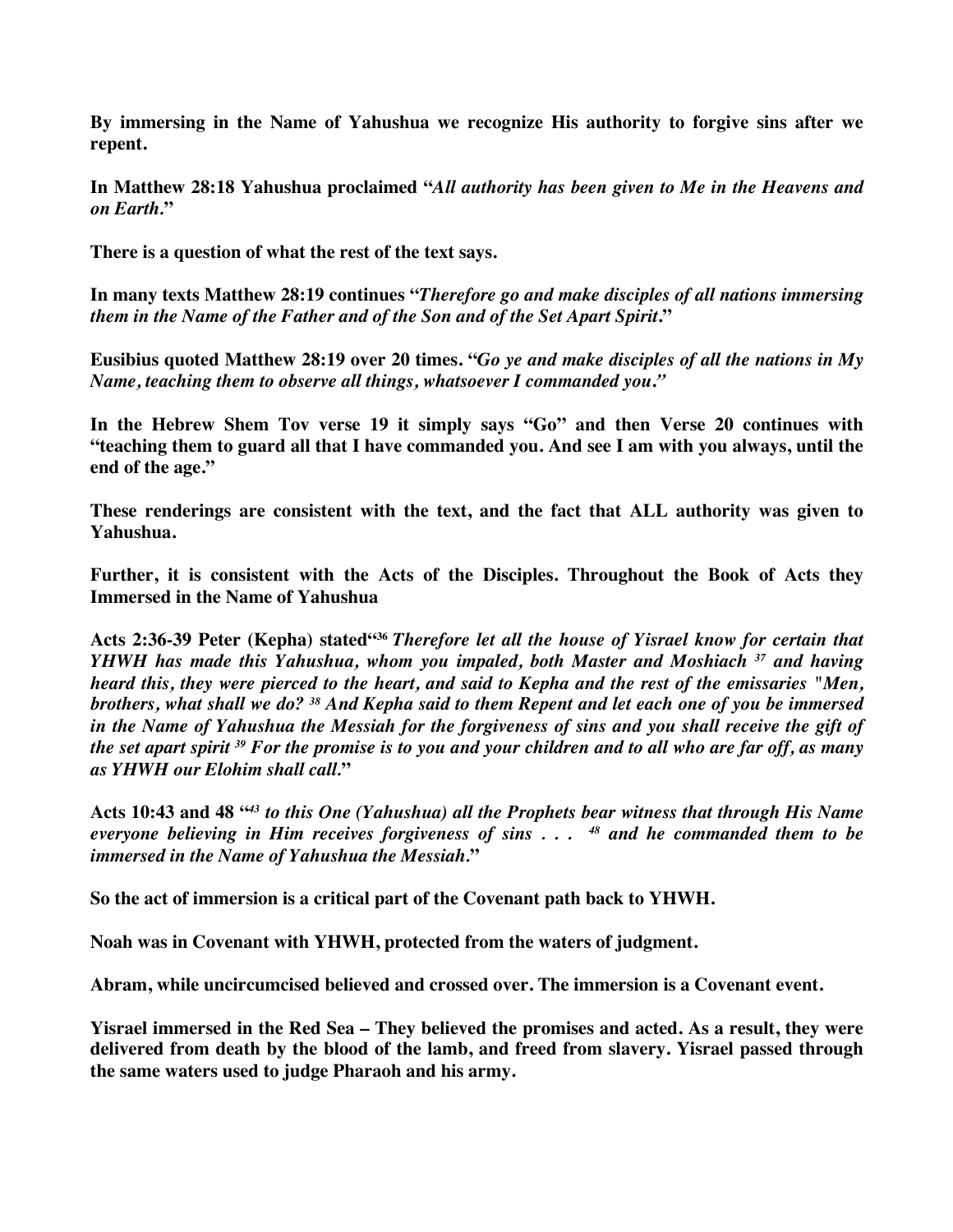**By immersing in the Name of Yahushua we recognize His authority to forgive sins after we repent.**

**In Matthew 28:18 Yahushua proclaimed "***All authority has been given to Me in the Heavens and on Earth.***"**

**There is a question of what the rest of the text says.** 

**In many texts Matthew 28:19 continues "***Therefore go and make disciples of all nations immersing them in the Name of the Father and of the Son and of the Set Apart Spirit***."**

**Eusibius quoted Matthew 28:19 over 20 times. "***Go ye and make disciples of all the nations in My Name, teaching them to observe all things, whatsoever I commanded you***.***"*

**In the Hebrew Shem Tov verse 19 it simply says "Go" and then Verse 20 continues with "teaching them to guard all that I have commanded you. And see I am with you always, until the end of the age."**

**These renderings are consistent with the text, and the fact that ALL authority was given to Yahushua.**

**Further, it is consistent with the Acts of the Disciples. Throughout the Book of Acts they Immersed in the Name of Yahushua**

**Acts 2:36-39 Peter (Kepha) stated"36** *Therefore let all the house of Yisrael know for certain that YHWH has made this Yahushua, whom you impaled, both Master and Moshiach <sup>37</sup> and having heard this, they were pierced to the heart, and said to Kepha and the rest of the emissaries "Men, brothers, what shall we do? 38 And Kepha said to them Repent and let each one of you be immersed in the Name of Yahushua the Messiah for the forgiveness of sins and you shall receive the gift of the set apart spirit 39 For the promise is to you and your children and to all who are far off, as many as YHWH our Elohim shall call.***"**

**Acts 10:43 and 48 "***<sup>43</sup> to this One (Yahushua) all the Prophets bear witness that through His Name everyone believing in Him receives forgiveness of sins . . . 48 and he commanded them to be immersed in the Name of Yahushua the Messiah.***"**

**So the act of immersion is a critical part of the Covenant path back to YHWH.** 

**Noah was in Covenant with YHWH, protected from the waters of judgment.**

**Abram, while uncircumcised believed and crossed over. The immersion is a Covenant event.**

**Yisrael immersed in the Red Sea – They believed the promises and acted. As a result, they were delivered from death by the blood of the lamb, and freed from slavery. Yisrael passed through the same waters used to judge Pharaoh and his army.**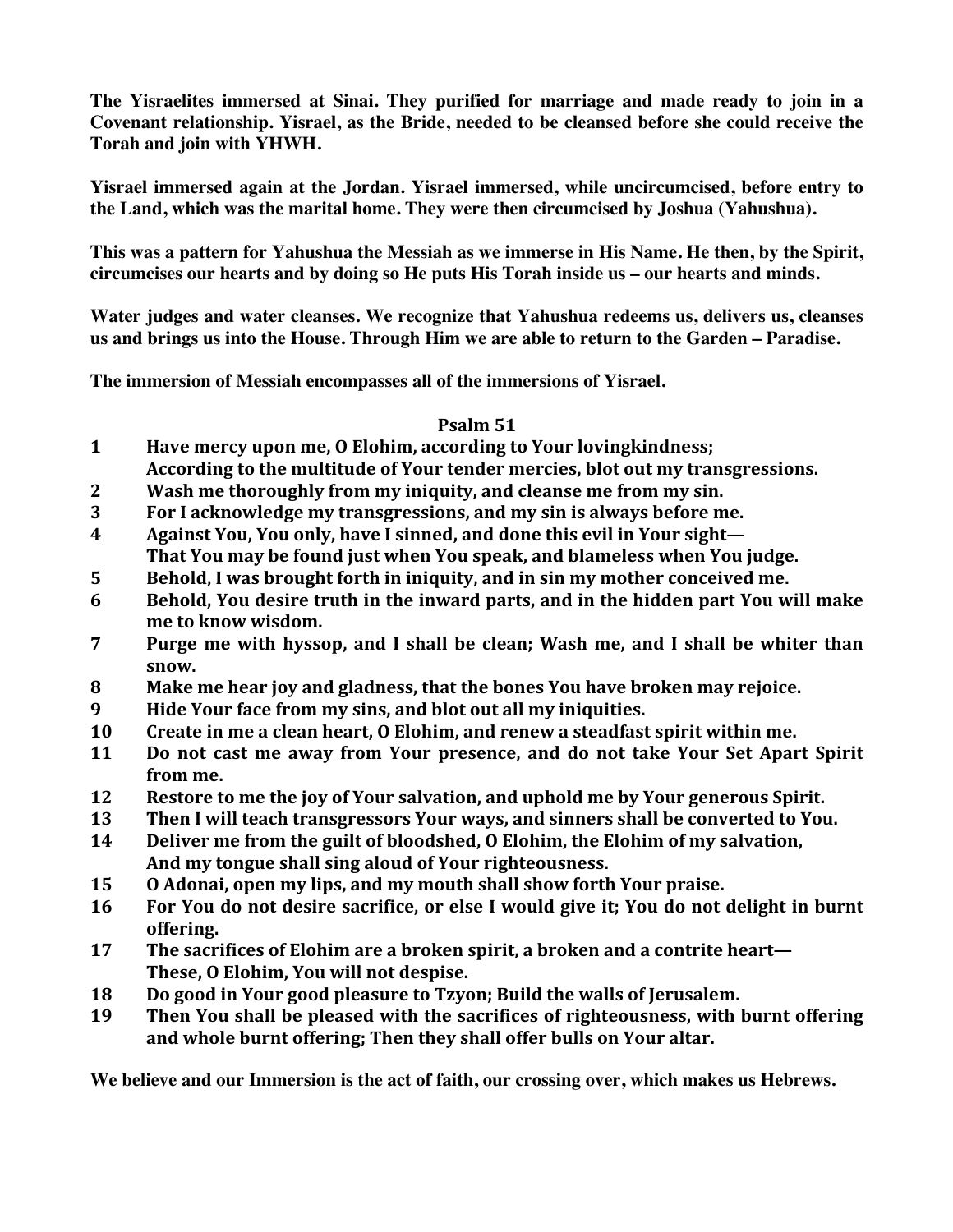**The Yisraelites immersed at Sinai. They purified for marriage and made ready to join in a Covenant relationship. Yisrael, as the Bride, needed to be cleansed before she could receive the Torah and join with YHWH.**

**Yisrael immersed again at the Jordan. Yisrael immersed, while uncircumcised, before entry to the Land, which was the marital home. They were then circumcised by Joshua (Yahushua).**

**This was a pattern for Yahushua the Messiah as we immerse in His Name. He then, by the Spirit, circumcises our hearts and by doing so He puts His Torah inside us – our hearts and minds.**

**Water judges and water cleanses. We recognize that Yahushua redeems us, delivers us, cleanses us and brings us into the House. Through Him we are able to return to the Garden – Paradise.**

**The immersion of Messiah encompasses all of the immersions of Yisrael.**

#### **Psalm 51**

- **1 Have mercy upon me, O Elohim, according to Your lovingkindness;** According to the multitude of Your tender mercies, blot out my transgressions.
- **2 Wash me thoroughly from my iniquity, and cleanse me from my sin.**
- **3 For I** acknowledge my transgressions, and my sin is always before me.
- **4 Against You, You only, have I sinned, and done this evil in Your sight—** That You may be found just when You speak, and blameless when You judge.
- **5** Behold, I was brought forth in iniquity, and in sin my mother conceived me.
- **6** Behold, You desire truth in the inward parts, and in the hidden part You will make me to know wisdom.
- **7 Purge me with hyssop, and I shall be clean; Wash me, and I shall be whiter than snow.**
- **8 Make me hear joy and gladness, that the bones You have broken may rejoice.**
- **9 Hide Your face from my sins, and blot out all my iniquities.**
- **10** Create in me a clean heart, O Elohim, and renew a steadfast spirit within me.
- **11** Do not cast me away from Your presence, and do not take Your Set Apart Spirit from me.
- **12 Restore to me the joy of Your salvation, and uphold me by Your generous Spirit.**
- **13** Then I will teach transgressors Your ways, and sinners shall be converted to You.
- **14 Deliver me from the guilt of bloodshed, O Elohim, the Elohim of my salvation,** And my tongue shall sing aloud of Your righteousness.
- **15** O Adonai, open my lips, and my mouth shall show forth Your praise.
- **16** For You do not desire sacrifice, or else I would give it; You do not delight in burnt **offering.**
- **17** The sacrifices of Elohim are a broken spirit, a broken and a contrite heart— These, O Elohim, You will not despise.
- **18 Do good in Your good pleasure to Tzyon;** Build the walls of Jerusalem.
- **19** Then You shall be pleased with the sacrifices of righteousness, with burnt offering and whole burnt offering; Then they shall offer bulls on Your altar.

**We believe and our Immersion is the act of faith, our crossing over, which makes us Hebrews.**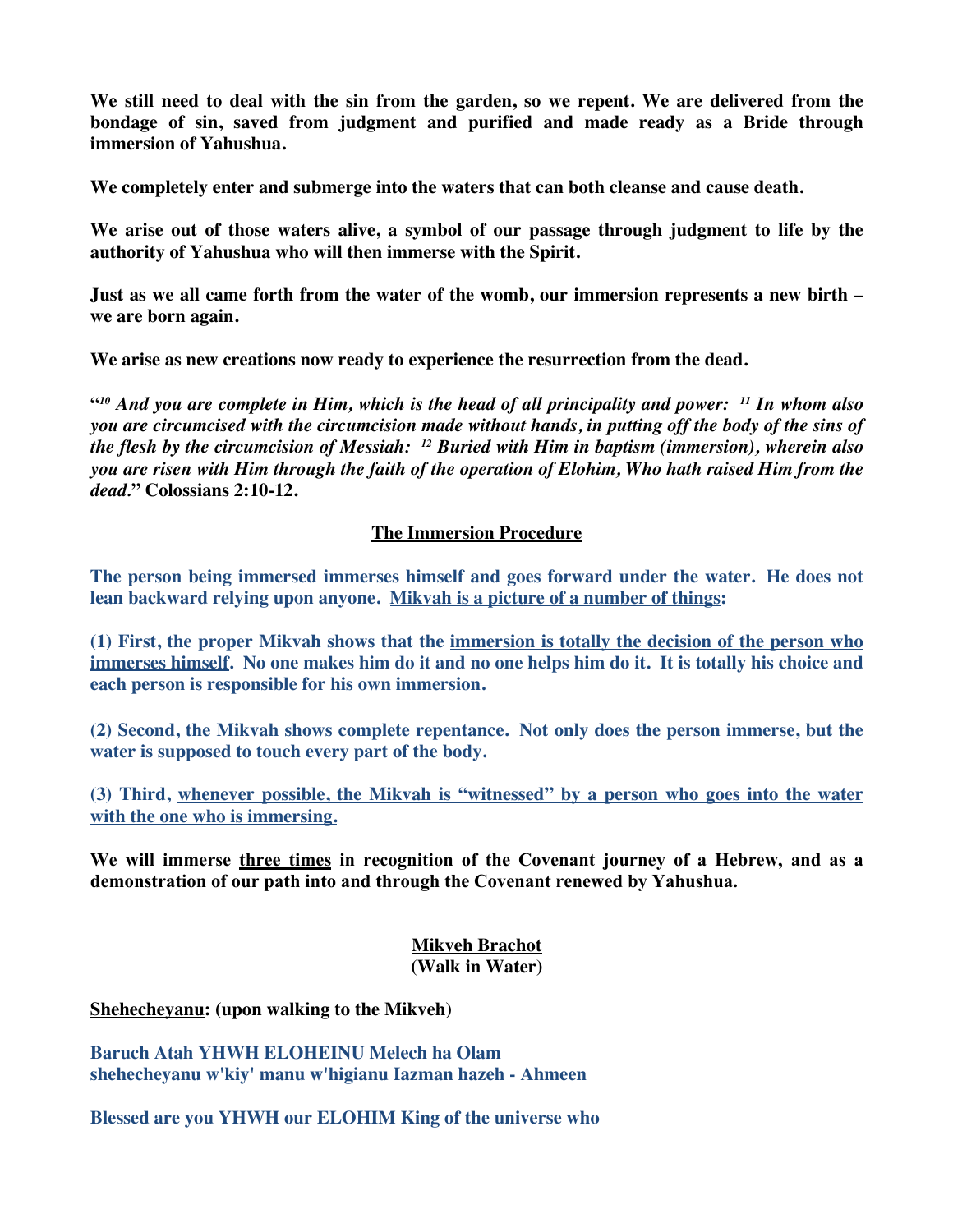**We still need to deal with the sin from the garden, so we repent. We are delivered from the bondage of sin, saved from judgment and purified and made ready as a Bride through immersion of Yahushua.**

**We completely enter and submerge into the waters that can both cleanse and cause death.**

**We arise out of those waters alive, a symbol of our passage through judgment to life by the authority of Yahushua who will then immerse with the Spirit.**

**Just as we all came forth from the water of the womb, our immersion represents a new birth – we are born again.**

**We arise as new creations now ready to experience the resurrection from the dead.**

**"***<sup>10</sup> And you are complete in Him, which is the head of all principality and power: 11 In whom also you are circumcised with the circumcision made without hands, in putting off the body of the sins of the flesh by the circumcision of Messiah: 12 Buried with Him in baptism (immersion), wherein also you are risen with Him through the faith of the operation of Elohim, Who hath raised Him from the dead.***" Colossians 2:10-12.**

#### **The Immersion Procedure**

**The person being immersed immerses himself and goes forward under the water. He does not lean backward relying upon anyone. Mikvah is a picture of a number of things:**

**(1) First, the proper Mikvah shows that the immersion is totally the decision of the person who immerses himself. No one makes him do it and no one helps him do it. It is totally his choice and each person is responsible for his own immersion.**

**(2) Second, the Mikvah shows complete repentance. Not only does the person immerse, but the water is supposed to touch every part of the body.**

**(3) Third, whenever possible, the Mikvah is "witnessed" by a person who goes into the water with the one who is immersing.**

**We will immerse three times in recognition of the Covenant journey of a Hebrew, and as a demonstration of our path into and through the Covenant renewed by Yahushua.**

#### **Mikveh Brachot (Walk in Water)**

**Shehecheyanu: (upon walking to the Mikveh)**

**Baruch Atah YHWH ELOHEINU Melech ha Olam shehecheyanu w'kiy' manu w'higianu Iazman hazeh - Ahmeen**

**Blessed are you YHWH our ELOHIM King of the universe who**